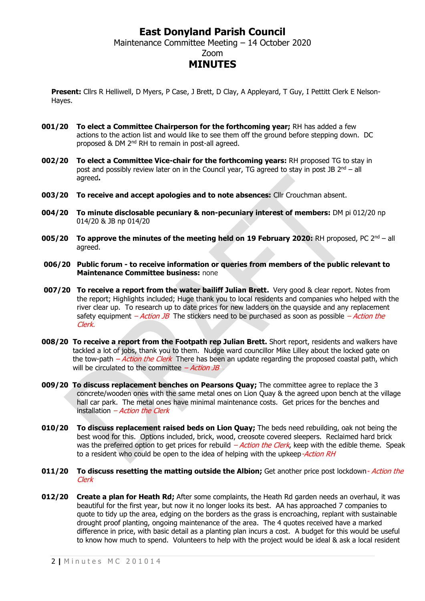### **East Donyland Parish Council** Maintenance Committee Meeting – 14 October 2020 Zoom **MINUTES**

**Present:** Cllrs R Helliwell, D Myers, P Case, J Brett, D Clay, A Appleyard, T Guy, I Pettitt Clerk E Nelson-Hayes.

- **001/20 To elect a Committee Chairperson for the forthcoming year;** RH has added a few actions to the action list and would like to see them off the ground before stepping down. DC proposed & DM 2<sup>nd</sup> RH to remain in post-all agreed.
- **002/20 To elect a Committee Vice-chair for the forthcoming years:** RH proposed TG to stay in post and possibly review later on in the Council year, TG agreed to stay in post JB  $2<sup>nd</sup> - all$ agreed**.**
- **003/20 To receive and accept apologies and to note absences:** Cllr Crouchman absent.
- **004/20 To minute disclosable pecuniary & non-pecuniary interest of members:** DM pi 012/20 np 014/20 & JB np 014/20
- **005/20 To approve the minutes of the meeting held on 19 February 2020: RH proposed, PC 2<sup>nd</sup> all** agreed.
- **006/20 Public forum - to receive information or queries from members of the public relevant to Maintenance Committee business:** none
- **007/20 To receive a report from the water bailiff Julian Brett.** Very good & clear report. Notes from the report; Highlights included; Huge thank you to local residents and companies who helped with the river clear up. To research up to date prices for new ladders on the quayside and any replacement safety equipment – Action JB The stickers need to be purchased as soon as possible – Action the Clerk.
- **008/20 To receive a report from the Footpath rep Julian Brett.** Short report, residents and walkers have tackled a lot of jobs, thank you to them. Nudge ward councillor Mike Lilley about the locked gate on the tow-path  $-Action$  the Clerk There has been an update regarding the proposed coastal path, which will be circulated to the committee  $-$  *Action JB*
- **009/20 To discuss replacement benches on Pearsons Quay;** The committee agree to replace the 3 concrete/wooden ones with the same metal ones on Lion Quay & the agreed upon bench at the village hall car park. The metal ones have minimal maintenance costs. Get prices for the benches and installation  $-Action$  the Clerk
- **010/20 To discuss replacement raised beds on Lion Quay;** The beds need rebuilding, oak not being the best wood for this. Options included, brick, wood, creosote covered sleepers. Reclaimed hard brick was the preferred option to get prices for rebuild - Action the Clerk, keep with the edible theme. Speak to a resident who could be open to the idea of helping with the upkeep-Action RH
- **011/20** To discuss resetting the matting outside the Albion; Get another price post lockdown- Action the Clerk
- **012/20 Create a plan for Heath Rd;** After some complaints, the Heath Rd garden needs an overhaul, it was beautiful for the first year, but now it no longer looks its best. AA has approached 7 companies to quote to tidy up the area, edging on the borders as the grass is encroaching, replant with sustainable drought proof planting, ongoing maintenance of the area. The 4 quotes received have a marked difference in price, with basic detail as a planting plan incurs a cost. A budget for this would be useful to know how much to spend. Volunteers to help with the project would be ideal & ask a local resident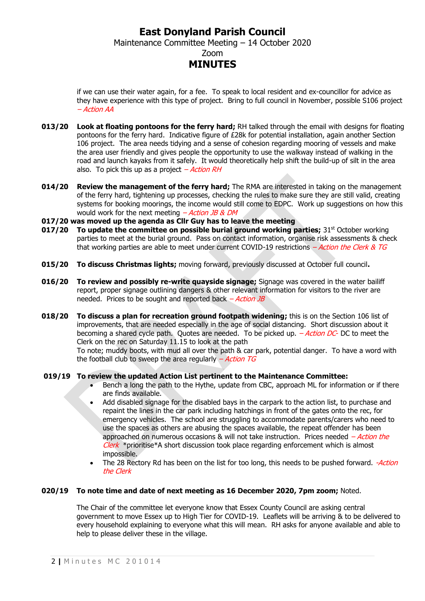### **East Donyland Parish Council** Maintenance Committee Meeting – 14 October 2020 Zoom **MINUTES**

if we can use their water again, for a fee. To speak to local resident and ex-councillor for advice as they have experience with this type of project. Bring to full council in November, possible S106 project – Action AA

- **013/20 Look at floating pontoons for the ferry hard;** RH talked through the email with designs for floating pontoons for the ferry hard. Indicative figure of £28k for potential installation, again another Section 106 project. The area needs tidying and a sense of cohesion regarding mooring of vessels and make the area user friendly and gives people the opportunity to use the walkway instead of walking in the road and launch kayaks from it safely. It would theoretically help shift the build-up of silt in the area also. To pick this up as a project  $-Action RH$
- **014/20 Review the management of the ferry hard;** The RMA are interested in taking on the management of the ferry hard, tightening up processes, checking the rules to make sure they are still valid, creating systems for booking moorings, the income would still come to EDPC. Work up suggestions on how this would work for the next meeting  $-$  *Action JB & DM*
- **017/20 was moved up the agenda as Cllr Guy has to leave the meeting**
- **017/20** To update the committee on possible burial ground working parties; 31<sup>st</sup> October working parties to meet at the burial ground. Pass on contact information, organise risk assessments & check that working parties are able to meet under current COVID-19 restrictions  $-Action$  the Clerk & TG
- **015/20 To discuss Christmas lights;** moving forward, previously discussed at October full council**.**
- **016/20 To review and possibly re-write quayside signage;** Signage was covered in the water bailiff report, proper signage outlining dangers & other relevant information for visitors to the river are needed. Prices to be sought and reported back  $-ActionJB$
- **018/20 To discuss a plan for recreation ground footpath widening;** this is on the Section 106 list of improvements, that are needed especially in the age of social distancing. Short discussion about it becoming a shared cycle path. Quotes are needed. To be picked up.  $-Action DC$ - DC to meet the Clerk on the rec on Saturday 11.15 to look at the path

To note; muddy boots, with mud all over the path & car park, potential danger. To have a word with the football club to sweep the area regularly  $-Action$  TG

#### **019/19 To review the updated Action List pertinent to the Maintenance Committee:**

- Bench a long the path to the Hythe, update from CBC, approach ML for information or if there are finds available.
- Add disabled signage for the disabled bays in the carpark to the action list, to purchase and repaint the lines in the car park including hatchings in front of the gates onto the rec, for emergency vehicles. The school are struggling to accommodate parents/carers who need to use the spaces as others are abusing the spaces available, the repeat offender has been approached on numerous occasions & will not take instruction. Prices needed  $-Action$  the  $Clerk$  \*prioritise\*A short discussion took place regarding enforcement which is almost impossible.
- The 28 Rectory Rd has been on the list for too long, this needs to be pushed forward. Action the Clerk

#### **020/19 To note time and date of next meeting as 16 December 2020, 7pm zoom;** Noted.

The Chair of the committee let everyone know that Essex County Council are asking central government to move Essex up to High Tier for COVID-19. Leaflets will be arriving & to be delivered to every household explaining to everyone what this will mean. RH asks for anyone available and able to help to please deliver these in the village.